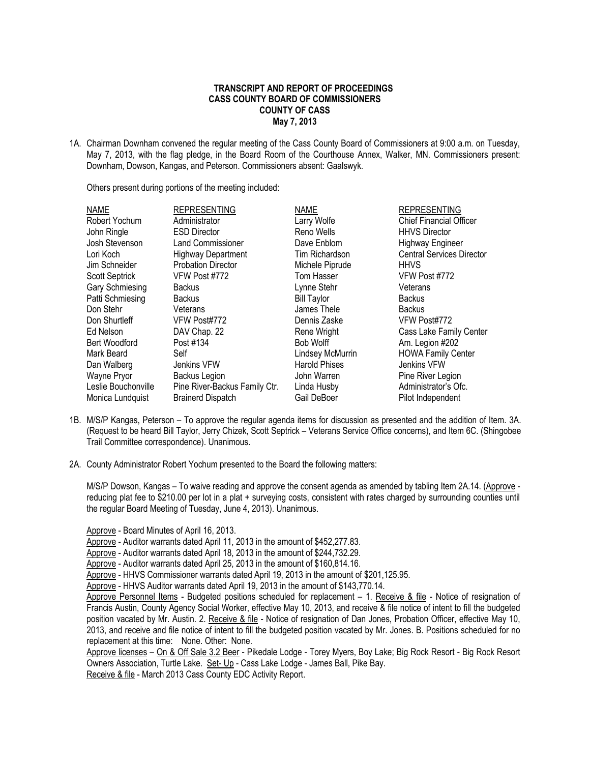## **TRANSCRIPT AND REPORT OF PROCEEDINGS CASS COUNTY BOARD OF COMMISSIONERS COUNTY OF CASS May 7, 2013**

1A. Chairman Downham convened the regular meeting of the Cass County Board of Commissioners at 9:00 a.m. on Tuesday, May 7, 2013, with the flag pledge, in the Board Room of the Courthouse Annex, Walker, MN. Commissioners present: Downham, Dowson, Kangas, and Peterson. Commissioners absent: Gaalswyk.

Others present during portions of the meeting included:

| <b>NAME</b>           | <b>REPRESENTING</b>           | <b>NAME</b>          | <b>REPRESENTING</b>              |
|-----------------------|-------------------------------|----------------------|----------------------------------|
| Robert Yochum         | Administrator                 | Larry Wolfe          | <b>Chief Financial Officer</b>   |
| John Ringle           | <b>ESD Director</b>           | Reno Wells           | <b>HHVS Director</b>             |
| Josh Stevenson        | <b>Land Commissioner</b>      | Dave Enblom          | <b>Highway Engineer</b>          |
| Lori Koch             | <b>Highway Department</b>     | Tim Richardson       | <b>Central Services Director</b> |
| Jim Schneider         | <b>Probation Director</b>     | Michele Piprude      | <b>HHVS</b>                      |
| <b>Scott Septrick</b> | VFW Post #772                 | Tom Hasser           | VFW Post #772                    |
| Gary Schmiesing       | <b>Backus</b>                 | Lynne Stehr          | Veterans                         |
| Patti Schmiesing      | <b>Backus</b>                 | <b>Bill Taylor</b>   | <b>Backus</b>                    |
| Don Stehr             | Veterans                      | James Thele          | <b>Backus</b>                    |
| Don Shurtleff         | VFW Post#772                  | Dennis Zaske         | VFW Post#772                     |
| Ed Nelson             | DAV Chap. 22                  | Rene Wright          | Cass Lake Family Center          |
| Bert Woodford         | Post #134                     | Bob Wolff            | Am. Legion #202                  |
| Mark Beard            | Self                          | Lindsey McMurrin     | <b>HOWA Family Center</b>        |
| Dan Walberg           | Jenkins VFW                   | <b>Harold Phises</b> | Jenkins VFW                      |
| Wayne Pryor           | Backus Legion                 | John Warren          | Pine River Legion                |
| Leslie Bouchonville   | Pine River-Backus Family Ctr. | Linda Husby          | Administrator's Ofc.             |
| Monica Lundquist      | <b>Brainerd Dispatch</b>      | Gail DeBoer          | Pilot Independent                |

- 1B. M/S/P Kangas, Peterson To approve the regular agenda items for discussion as presented and the addition of Item. 3A. (Request to be heard Bill Taylor, Jerry Chizek, Scott Septrick – Veterans Service Office concerns), and Item 6C. (Shingobee Trail Committee correspondence). Unanimous.
- 2A. County Administrator Robert Yochum presented to the Board the following matters:

M/S/P Dowson, Kangas – To waive reading and approve the consent agenda as amended by tabling Item 2A.14. (Approve reducing plat fee to \$210.00 per lot in a plat + surveying costs, consistent with rates charged by surrounding counties until the regular Board Meeting of Tuesday, June 4, 2013). Unanimous.

Approve - Board Minutes of April 16, 2013.

- Approve Auditor warrants dated April 11, 2013 in the amount of \$452,277.83.
- Approve Auditor warrants dated April 18, 2013 in the amount of \$244,732.29.

Approve - Auditor warrants dated April 25, 2013 in the amount of \$160,814.16.

Approve - HHVS Commissioner warrants dated April 19, 2013 in the amount of \$201,125.95.

Approve - HHVS Auditor warrants dated April 19, 2013 in the amount of \$143,770.14.

Approve Personnel Items - Budgeted positions scheduled for replacement – 1. Receive & file - Notice of resignation of Francis Austin, County Agency Social Worker, effective May 10, 2013, and receive & file notice of intent to fill the budgeted position vacated by Mr. Austin. 2. Receive & file - Notice of resignation of Dan Jones, Probation Officer, effective May 10, 2013, and receive and file notice of intent to fill the budgeted position vacated by Mr. Jones. B. Positions scheduled for no replacement at this time: None. Other: None.

Approve licenses – On & Off Sale 3.2 Beer - Pikedale Lodge - Torey Myers, Boy Lake; Big Rock Resort - Big Rock Resort Owners Association, Turtle Lake. Set- Up - Cass Lake Lodge - James Ball, Pike Bay.

Receive & file - March 2013 Cass County EDC Activity Report.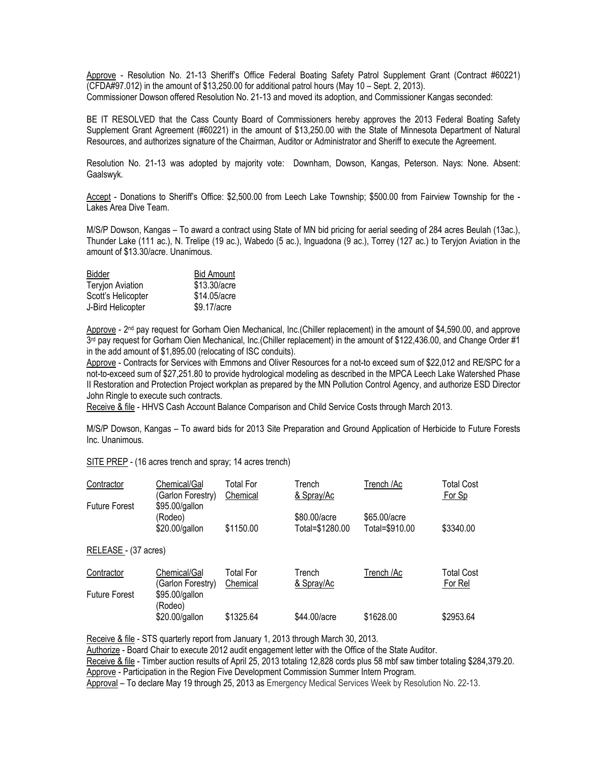Approve - Resolution No. 21-13 Sheriff's Office Federal Boating Safety Patrol Supplement Grant (Contract #60221) (CFDA#97.012) in the amount of \$13,250.00 for additional patrol hours (May 10 – Sept. 2, 2013). Commissioner Dowson offered Resolution No. 21-13 and moved its adoption, and Commissioner Kangas seconded:

BE IT RESOLVED that the Cass County Board of Commissioners hereby approves the 2013 Federal Boating Safety Supplement Grant Agreement (#60221) in the amount of \$13,250.00 with the State of Minnesota Department of Natural Resources, and authorizes signature of the Chairman, Auditor or Administrator and Sheriff to execute the Agreement.

Resolution No. 21-13 was adopted by majority vote: Downham, Dowson, Kangas, Peterson. Nays: None. Absent: Gaalswyk.

Accept - Donations to Sheriff's Office: \$2,500.00 from Leech Lake Township; \$500.00 from Fairview Township for the - Lakes Area Dive Team.

M/S/P Dowson, Kangas – To award a contract using State of MN bid pricing for aerial seeding of 284 acres Beulah (13ac.), Thunder Lake (111 ac.), N. Trelipe (19 ac.), Wabedo (5 ac.), Inguadona (9 ac.), Torrey (127 ac.) to Teryjon Aviation in the amount of \$13.30/acre. Unanimous.

| Bidder                  | <b>Bid Amount</b> |  |  |
|-------------------------|-------------------|--|--|
| <b>Teryjon Aviation</b> | \$13.30/acre      |  |  |
| Scott's Helicopter      | \$14.05/acre      |  |  |
| J-Bird Helicopter       | \$9.17/acre       |  |  |

Approve - 2<sup>nd</sup> pay request for Gorham Oien Mechanical, Inc.(Chiller replacement) in the amount of \$4,590.00, and approve 3<sup>rd</sup> pay request for Gorham Oien Mechanical, Inc.(Chiller replacement) in the amount of \$122,436.00, and Change Order #1 in the add amount of \$1,895.00 (relocating of ISC conduits).

Approve - Contracts for Services with Emmons and Oliver Resources for a not-to exceed sum of \$22,012 and RE/SPC for a not-to-exceed sum of \$27,251.80 to provide hydrological modeling as described in the MPCA Leech Lake Watershed Phase II Restoration and Protection Project workplan as prepared by the MN Pollution Control Agency, and authorize ESD Director John Ringle to execute such contracts.

Receive & file - HHVS Cash Account Balance Comparison and Child Service Costs through March 2013.

M/S/P Dowson, Kangas – To award bids for 2013 Site Preparation and Ground Application of Herbicide to Future Forests Inc. Unanimous.

SITE PREP - (16 acres trench and spray; 14 acres trench)

| Contractor           | Chemical/Gal<br>(Garlon Forestry)           | Total For<br>Chemical | Trench<br>& Spray/Ac            | Trench /Ac                     | <b>Total Cost</b><br>For Sp  |
|----------------------|---------------------------------------------|-----------------------|---------------------------------|--------------------------------|------------------------------|
| <b>Future Forest</b> | \$95.00/gallon<br>(Rodeo)<br>\$20.00/gallon | \$1150.00             | \$80.00/acre<br>Total=\$1280.00 | \$65.00/acre<br>Total=\$910.00 | \$3340.00                    |
| RELEASE - (37 acres) |                                             |                       |                                 |                                |                              |
| Contractor           | Chemical/Gal<br>(Garlon Forestry)           | Total For<br>Chemical | Trench<br>& Spray/Ac            | Trench /Ac                     | <b>Total Cost</b><br>For Rel |
| <b>Future Forest</b> | \$95.00/gallon<br>(Rodeo)                   |                       |                                 |                                |                              |
|                      | \$20.00/gallon                              | \$1325.64             | \$44.00/acre                    | \$1628.00                      | \$2953.64                    |

Receive & file - STS quarterly report from January 1, 2013 through March 30, 2013.

Authorize - Board Chair to execute 2012 audit engagement letter with the Office of the State Auditor.

Receive & file - Timber auction results of April 25, 2013 totaling 12,828 cords plus 58 mbf saw timber totaling \$284,379.20.

Approve - Participation in the Region Five Development Commission Summer Intern Program.

Approval – To declare May 19 through 25, 2013 as Emergency Medical Services Week by Resolution No. 22-13.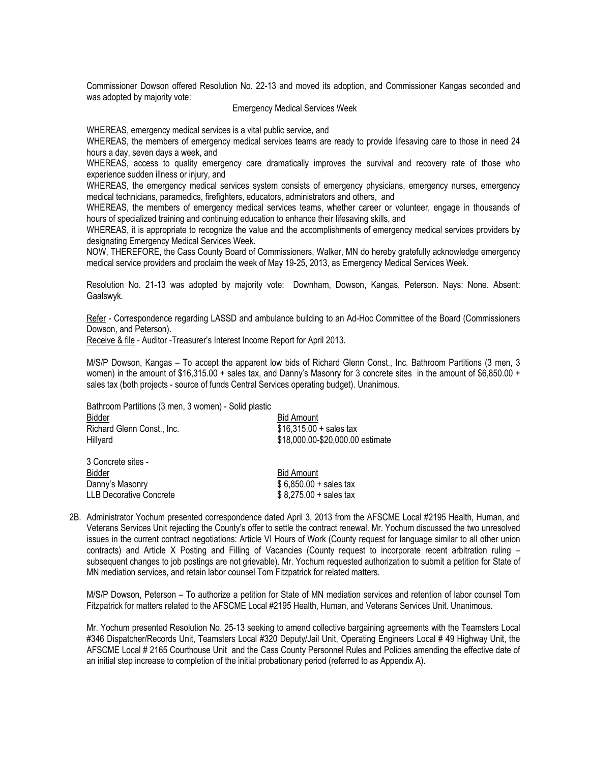Commissioner Dowson offered Resolution No. 22-13 and moved its adoption, and Commissioner Kangas seconded and was adopted by majority vote:

### Emergency Medical Services Week

WHEREAS, emergency medical services is a vital public service, and

WHEREAS, the members of emergency medical services teams are ready to provide lifesaving care to those in need 24 hours a day, seven days a week, and

WHEREAS, access to quality emergency care dramatically improves the survival and recovery rate of those who experience sudden illness or injury, and

WHEREAS, the emergency medical services system consists of emergency physicians, emergency nurses, emergency medical technicians, paramedics, firefighters, educators, administrators and others, and

WHEREAS, the members of emergency medical services teams, whether career or volunteer, engage in thousands of hours of specialized training and continuing education to enhance their lifesaving skills, and

WHEREAS, it is appropriate to recognize the value and the accomplishments of emergency medical services providers by designating Emergency Medical Services Week.

NOW, THEREFORE, the Cass County Board of Commissioners, Walker, MN do hereby gratefully acknowledge emergency medical service providers and proclaim the week of May 19-25, 2013, as Emergency Medical Services Week.

Resolution No. 21-13 was adopted by majority vote: Downham, Dowson, Kangas, Peterson. Nays: None. Absent: Gaalswyk.

Refer - Correspondence regarding LASSD and ambulance building to an Ad-Hoc Committee of the Board (Commissioners Dowson, and Peterson).

Receive & file - Auditor -Treasurer's Interest Income Report for April 2013.

M/S/P Dowson, Kangas – To accept the apparent low bids of Richard Glenn Const., Inc. Bathroom Partitions (3 men, 3 women) in the amount of \$16,315.00 + sales tax, and Danny's Masonry for 3 concrete sites in the amount of \$6,850.00 + sales tax (both projects - source of funds Central Services operating budget). Unanimous.

Bathroom Partitions (3 men, 3 women) - Solid plastic

| Bidder                         | <b>Bid Amount</b>                |
|--------------------------------|----------------------------------|
| Richard Glenn Const., Inc.     | $$16,315.00 + sales tax$         |
| Hillyard                       | \$18,000.00-\$20,000.00 estimate |
| 3 Concrete sites -             |                                  |
| Bidder                         | <b>Bid Amount</b>                |
| Danny's Masonry                | $$6,850.00 + sales tax$          |
| <b>LLB Decorative Concrete</b> | $$8,275.00 + sales tax$          |

2B. Administrator Yochum presented correspondence dated April 3, 2013 from the AFSCME Local #2195 Health, Human, and Veterans Services Unit rejecting the County's offer to settle the contract renewal. Mr. Yochum discussed the two unresolved issues in the current contract negotiations: Article VI Hours of Work (County request for language similar to all other union contracts) and Article X Posting and Filling of Vacancies (County request to incorporate recent arbitration ruling – subsequent changes to job postings are not grievable). Mr. Yochum requested authorization to submit a petition for State of MN mediation services, and retain labor counsel Tom Fitzpatrick for related matters.

M/S/P Dowson, Peterson – To authorize a petition for State of MN mediation services and retention of labor counsel Tom Fitzpatrick for matters related to the AFSCME Local #2195 Health, Human, and Veterans Services Unit. Unanimous.

Mr. Yochum presented Resolution No. 25-13 seeking to amend collective bargaining agreements with the Teamsters Local #346 Dispatcher/Records Unit, Teamsters Local #320 Deputy/Jail Unit, Operating Engineers Local # 49 Highway Unit, the AFSCME Local # 2165 Courthouse Unit and the Cass County Personnel Rules and Policies amending the effective date of an initial step increase to completion of the initial probationary period (referred to as Appendix A).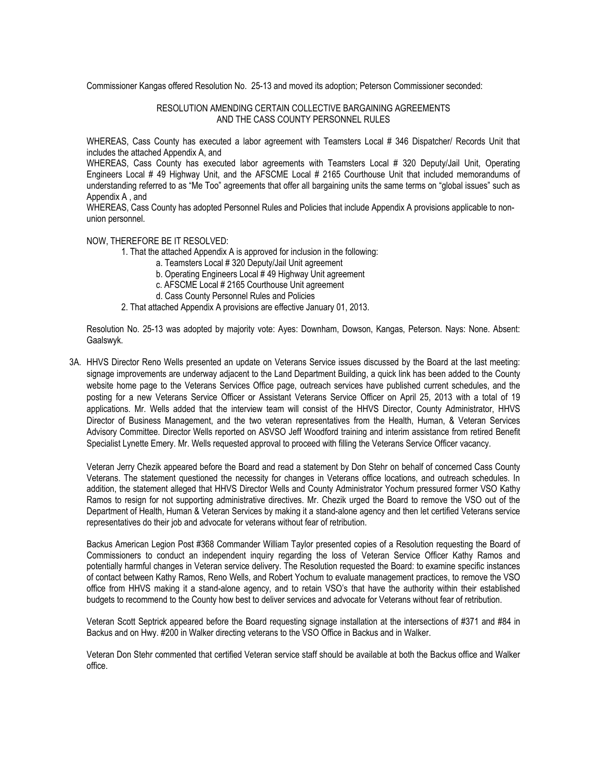Commissioner Kangas offered Resolution No. 25-13 and moved its adoption; Peterson Commissioner seconded:

## RESOLUTION AMENDING CERTAIN COLLECTIVE BARGAINING AGREEMENTS AND THE CASS COUNTY PERSONNEL RULES

WHEREAS, Cass County has executed a labor agreement with Teamsters Local # 346 Dispatcher/ Records Unit that includes the attached Appendix A, and

WHEREAS, Cass County has executed labor agreements with Teamsters Local # 320 Deputy/Jail Unit, Operating Engineers Local # 49 Highway Unit, and the AFSCME Local # 2165 Courthouse Unit that included memorandums of understanding referred to as "Me Too" agreements that offer all bargaining units the same terms on "global issues" such as Appendix A , and

WHEREAS, Cass County has adopted Personnel Rules and Policies that include Appendix A provisions applicable to nonunion personnel.

### NOW, THEREFORE BE IT RESOLVED:

- 1. That the attached Appendix A is approved for inclusion in the following:
	- a. Teamsters Local # 320 Deputy/Jail Unit agreement
	- b. Operating Engineers Local # 49 Highway Unit agreement
	- c. AFSCME Local # 2165 Courthouse Unit agreement
	- d. Cass County Personnel Rules and Policies
- 2. That attached Appendix A provisions are effective January 01, 2013.

Resolution No. 25-13 was adopted by majority vote: Ayes: Downham, Dowson, Kangas, Peterson. Nays: None. Absent: Gaalswyk.

3A. HHVS Director Reno Wells presented an update on Veterans Service issues discussed by the Board at the last meeting: signage improvements are underway adjacent to the Land Department Building, a quick link has been added to the County website home page to the Veterans Services Office page, outreach services have published current schedules, and the posting for a new Veterans Service Officer or Assistant Veterans Service Officer on April 25, 2013 with a total of 19 applications. Mr. Wells added that the interview team will consist of the HHVS Director, County Administrator, HHVS Director of Business Management, and the two veteran representatives from the Health, Human, & Veteran Services Advisory Committee. Director Wells reported on ASVSO Jeff Woodford training and interim assistance from retired Benefit Specialist Lynette Emery. Mr. Wells requested approval to proceed with filling the Veterans Service Officer vacancy.

Veteran Jerry Chezik appeared before the Board and read a statement by Don Stehr on behalf of concerned Cass County Veterans. The statement questioned the necessity for changes in Veterans office locations, and outreach schedules. In addition, the statement alleged that HHVS Director Wells and County Administrator Yochum pressured former VSO Kathy Ramos to resign for not supporting administrative directives. Mr. Chezik urged the Board to remove the VSO out of the Department of Health, Human & Veteran Services by making it a stand-alone agency and then let certified Veterans service representatives do their job and advocate for veterans without fear of retribution.

Backus American Legion Post #368 Commander William Taylor presented copies of a Resolution requesting the Board of Commissioners to conduct an independent inquiry regarding the loss of Veteran Service Officer Kathy Ramos and potentially harmful changes in Veteran service delivery. The Resolution requested the Board: to examine specific instances of contact between Kathy Ramos, Reno Wells, and Robert Yochum to evaluate management practices, to remove the VSO office from HHVS making it a stand-alone agency, and to retain VSO's that have the authority within their established budgets to recommend to the County how best to deliver services and advocate for Veterans without fear of retribution.

Veteran Scott Septrick appeared before the Board requesting signage installation at the intersections of #371 and #84 in Backus and on Hwy. #200 in Walker directing veterans to the VSO Office in Backus and in Walker.

Veteran Don Stehr commented that certified Veteran service staff should be available at both the Backus office and Walker office.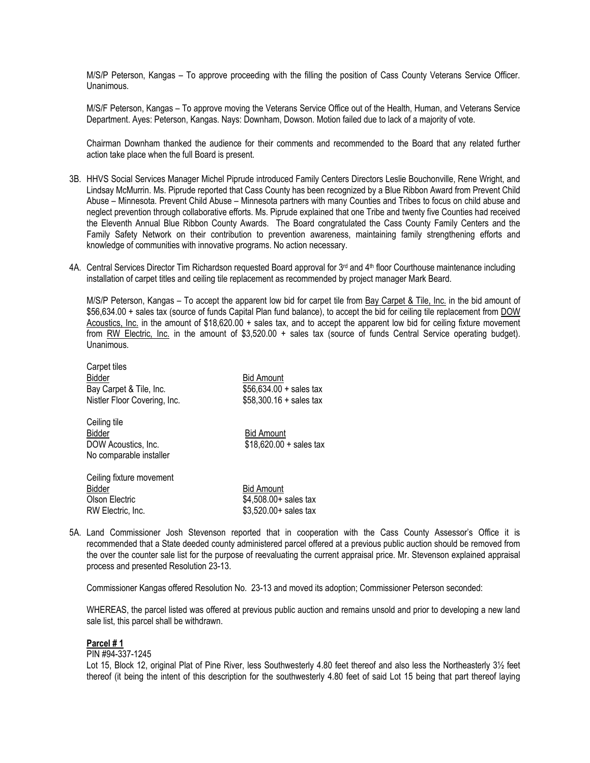M/S/P Peterson, Kangas – To approve proceeding with the filling the position of Cass County Veterans Service Officer. Unanimous.

M/S/F Peterson, Kangas – To approve moving the Veterans Service Office out of the Health, Human, and Veterans Service Department. Ayes: Peterson, Kangas. Nays: Downham, Dowson. Motion failed due to lack of a majority of vote.

Chairman Downham thanked the audience for their comments and recommended to the Board that any related further action take place when the full Board is present.

- 3B. HHVS Social Services Manager Michel Piprude introduced Family Centers Directors Leslie Bouchonville, Rene Wright, and Lindsay McMurrin. Ms. Piprude reported that Cass County has been recognized by a Blue Ribbon Award from Prevent Child Abuse – Minnesota. Prevent Child Abuse – Minnesota partners with many Counties and Tribes to focus on child abuse and neglect prevention through collaborative efforts. Ms. Piprude explained that one Tribe and twenty five Counties had received the Eleventh Annual Blue Ribbon County Awards. The Board congratulated the Cass County Family Centers and the Family Safety Network on their contribution to prevention awareness, maintaining family strengthening efforts and knowledge of communities with innovative programs. No action necessary.
- 4A. Central Services Director Tim Richardson requested Board approval for 3<sup>rd</sup> and 4<sup>th</sup> floor Courthouse maintenance including installation of carpet titles and ceiling tile replacement as recommended by project manager Mark Beard.

M/S/P Peterson, Kangas – To accept the apparent low bid for carpet tile from Bay Carpet & Tile, Inc. in the bid amount of \$56,634.00 + sales tax (source of funds Capital Plan fund balance), to accept the bid for ceiling tile replacement from DOW Acoustics, Inc. in the amount of \$18,620.00 + sales tax, and to accept the apparent low bid for ceiling fixture movement from RW Electric, Inc. in the amount of \$3,520.00 + sales tax (source of funds Central Service operating budget). Unanimous.

| Carpet tiles                 |                          |
|------------------------------|--------------------------|
| Bidder                       | <b>Bid Amount</b>        |
| Bay Carpet & Tile, Inc.      | $$56,634.00 + sales tax$ |
| Nistler Floor Covering, Inc. | $$58,300.16 + sales tax$ |
| Ceiling tile                 |                          |
| Bidder                       | <b>Bid Amount</b>        |
| DOW Acoustics, Inc.          | $$18,620.00 + sales tax$ |
| No comparable installer      |                          |
| Ceiling fixture movement     |                          |
| <b>Bidder</b>                | <b>Bid Amount</b>        |
| Olson Electric               | \$4,508.00+ sales tax    |

RW Electric, Inc. 63,520.00+ sales tax

5A. Land Commissioner Josh Stevenson reported that in cooperation with the Cass County Assessor's Office it is recommended that a State deeded county administered parcel offered at a previous public auction should be removed from the over the counter sale list for the purpose of reevaluating the current appraisal price. Mr. Stevenson explained appraisal process and presented Resolution 23-13.

Commissioner Kangas offered Resolution No. 23-13 and moved its adoption; Commissioner Peterson seconded:

WHEREAS, the parcel listed was offered at previous public auction and remains unsold and prior to developing a new land sale list, this parcel shall be withdrawn.

### **Parcel # 1**

PIN #94-337-1245

Lot 15, Block 12, original Plat of Pine River, less Southwesterly 4.80 feet thereof and also less the Northeasterly 31/<sub>2</sub> feet thereof (it being the intent of this description for the southwesterly 4.80 feet of said Lot 15 being that part thereof laying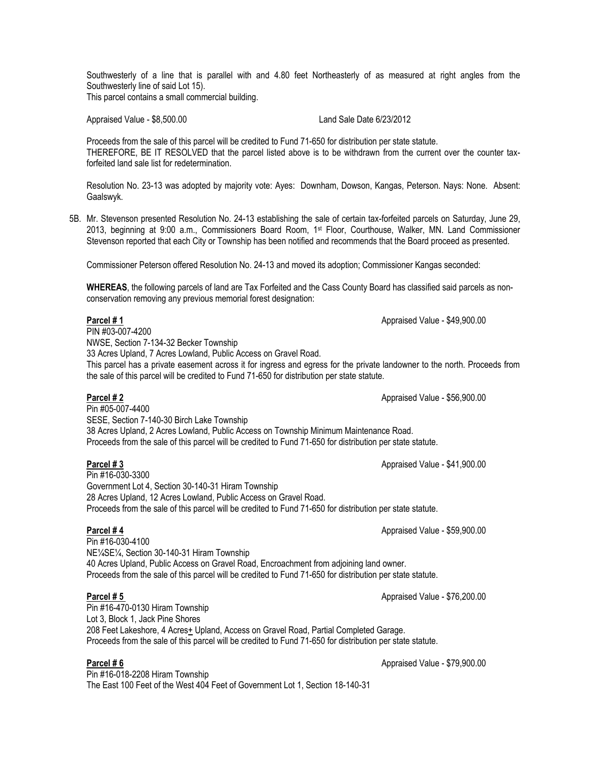Southwesterly of a line that is parallel with and 4.80 feet Northeasterly of as measured at right angles from the Southwesterly line of said Lot 15).

This parcel contains a small commercial building.

Appraised Value - \$8,500.00 Land Sale Date 6/23/2012

Proceeds from the sale of this parcel will be credited to Fund 71-650 for distribution per state statute. THEREFORE, BE IT RESOLVED that the parcel listed above is to be withdrawn from the current over the counter taxforfeited land sale list for redetermination.

Resolution No. 23-13 was adopted by majority vote: Ayes: Downham, Dowson, Kangas, Peterson. Nays: None. Absent: Gaalswyk.

5B. Mr. Stevenson presented Resolution No. 24-13 establishing the sale of certain tax-forfeited parcels on Saturday, June 29, 2013, beginning at 9:00 a.m., Commissioners Board Room, 1st Floor, Courthouse, Walker, MN. Land Commissioner Stevenson reported that each City or Township has been notified and recommends that the Board proceed as presented.

Commissioner Peterson offered Resolution No. 24-13 and moved its adoption; Commissioner Kangas seconded:

**WHEREAS**, the following parcels of land are Tax Forfeited and the Cass County Board has classified said parcels as nonconservation removing any previous memorial forest designation:

**Parcel # 1** Approved a set of the set of the set of the set of the set of the set of the set of the set of the set of the set of the set of the set of the set of the set of the set of the set of the set of the set of the

 $\overline{P}$ IN #03-007-4200 NWSE, Section 7-134-32 Becker Township 33 Acres Upland, 7 Acres Lowland, Public Access on Gravel Road. This parcel has a private easement across it for ingress and egress for the private landowner to the north. Proceeds from the sale of this parcel will be credited to Fund 71-650 for distribution per state statute.

**Parcel # 2** Appraised Value - \$56,900.00

SESE, Section 7-140-30 Birch Lake Township 38 Acres Upland, 2 Acres Lowland, Public Access on Township Minimum Maintenance Road. Proceeds from the sale of this parcel will be credited to Fund 71-650 for distribution per state statute.

## **Parcel # 3** Appraised Value - \$41,900.00

Pin #05-007-4400

Pin #16-030-3300 Government Lot 4, Section 30-140-31 Hiram Township 28 Acres Upland, 12 Acres Lowland, Public Access on Gravel Road. Proceeds from the sale of this parcel will be credited to Fund 71-650 for distribution per state statute.

## **Parcel # 4** Appraised Value - \$59,900.00

Pin #16-030-4100 NE¼SE¼, Section 30-140-31 Hiram Township 40 Acres Upland, Public Access on Gravel Road, Encroachment from adjoining land owner. Proceeds from the sale of this parcel will be credited to Fund 71-650 for distribution per state statute.

**Parcel # 5 Parcel # 5 Appraised Value - \$76,200.00** 

Pin #16-470-0130 Hiram Township Lot 3, Block 1, Jack Pine Shores 208 Feet Lakeshore, 4 Acres+ Upland, Access on Gravel Road, Partial Completed Garage. Proceeds from the sale of this parcel will be credited to Fund 71-650 for distribution per state statute.

Pin #16-018-2208 Hiram Township The East 100 Feet of the West 404 Feet of Government Lot 1, Section 18-140-31

**Parcel # 6** Appraised Value - \$79,900.00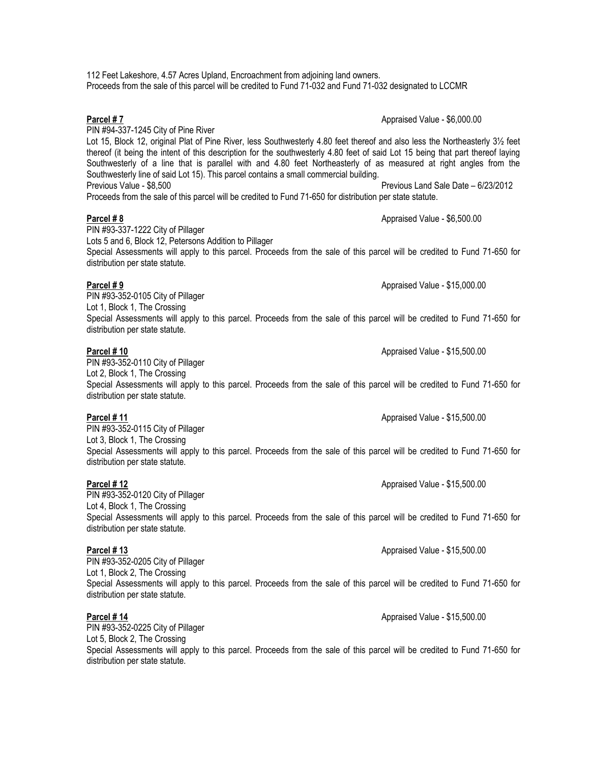PIN #94-337-1245 City of Pine River Lot 15, Block 12, original Plat of Pine River, less Southwesterly 4.80 feet thereof and also less the Northeasterly 31/<sub>2</sub> feet thereof (it being the intent of this description for the southwesterly 4.80 feet of said Lot 15 being that part thereof laying Southwesterly of a line that is parallel with and 4.80 feet Northeasterly of as measured at right angles from the Southwesterly line of said Lot 15). This parcel contains a small commercial building. Previous Value - \$8,500 Previous Land Sale Date – 6/23/2012

Proceeds from the sale of this parcel will be credited to Fund 71-650 for distribution per state statute.

Proceeds from the sale of this parcel will be credited to Fund 71-032 and Fund 71-032 designated to LCCMR

112 Feet Lakeshore, 4.57 Acres Upland, Encroachment from adjoining land owners.

# **Parcel # 8** Appraised Value - \$6,500.00

PIN #93-337-1222 City of Pillager Lots 5 and 6, Block 12, Petersons Addition to Pillager Special Assessments will apply to this parcel. Proceeds from the sale of this parcel will be credited to Fund 71-650 for distribution per state statute.

## **Parcel #9** Appraised Value - \$15,000.00

PIN #93-352-0105 City of Pillager Lot 1, Block 1, The Crossing Special Assessments will apply to this parcel. Proceeds from the sale of this parcel will be credited to Fund 71-650 for distribution per state statute.

## **Parcel #10 Parcel #10 Parcel #10 Parcel #10 Appraised Value - \$15,500.00**

PIN #93-352-0110 City of Pillager

Lot 2, Block 1, The Crossing Special Assessments will apply to this parcel. Proceeds from the sale of this parcel will be credited to Fund 71-650 for distribution per state statute.

## **Parcel # 11** Appraised Value - \$15,500.00

PIN #93-352-0115 City of Pillager Lot 3, Block 1, The Crossing Special Assessments will apply to this parcel. Proceeds from the sale of this parcel will be credited to Fund 71-650 for distribution per state statute.

PIN #93-352-0120 City of Pillager Lot 4, Block 1, The Crossing Special Assessments will apply to this parcel. Proceeds from the sale of this parcel will be credited to Fund 71-650 for distribution per state statute.

PIN #93-352-0205 City of Pillager Lot 1, Block 2, The Crossing Special Assessments will apply to this parcel. Proceeds from the sale of this parcel will be credited to Fund 71-650 for distribution per state statute.

## **Parcel # 14** Appraised Value - \$15,500.00

PIN #93-352-0225 City of Pillager Lot 5, Block 2, The Crossing Special Assessments will apply to this parcel. Proceeds from the sale of this parcel will be credited to Fund 71-650 for distribution per state statute.

**Parcel # 12** Appraised Value - \$15,500.00

**Parcel # 13** Appraised Value - \$15,500.00

**Parcel # 7** Appraised Value - \$6,000.00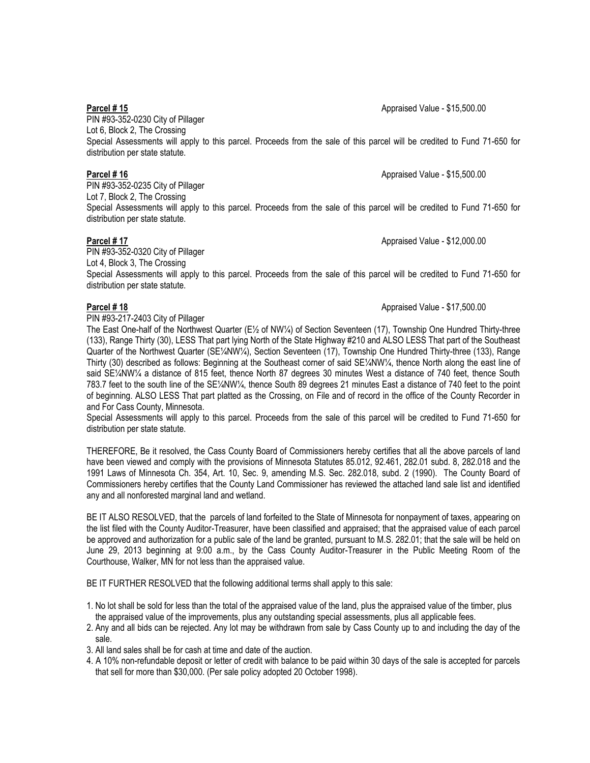PIN #93-352-0230 City of Pillager Lot 6, Block 2, The Crossing Special Assessments will apply to this parcel. Proceeds from the sale of this parcel will be credited to Fund 71-650 for distribution per state statute.

**Parcel # 16** Appraised Value - \$15,500.00

PIN #93-352-0235 City of Pillager Lot 7, Block 2, The Crossing Special Assessments will apply to this parcel. Proceeds from the sale of this parcel will be credited to Fund 71-650 for distribution per state statute.

PIN #93-352-0320 City of Pillager Lot 4, Block 3, The Crossing Special Assessments will apply to this parcel. Proceeds from the sale of this parcel will be credited to Fund 71-650 for distribution per state statute.

PIN #93-217-2403 City of Pillager

The East One-half of the Northwest Quarter (E½ of NW¼) of Section Seventeen (17), Township One Hundred Thirty-three (133), Range Thirty (30), LESS That part lying North of the State Highway #210 and ALSO LESS That part of the Southeast Quarter of the Northwest Quarter (SE¼NW¼), Section Seventeen (17), Township One Hundred Thirty-three (133), Range Thirty (30) described as follows: Beginning at the Southeast corner of said SE¼NW¼, thence North along the east line of said SE¼NW¼ a distance of 815 feet, thence North 87 degrees 30 minutes West a distance of 740 feet, thence South 783.7 feet to the south line of the SE¼NW¼, thence South 89 degrees 21 minutes East a distance of 740 feet to the point of beginning. ALSO LESS That part platted as the Crossing, on File and of record in the office of the County Recorder in and For Cass County, Minnesota.

Special Assessments will apply to this parcel. Proceeds from the sale of this parcel will be credited to Fund 71-650 for distribution per state statute.

THEREFORE, Be it resolved, the Cass County Board of Commissioners hereby certifies that all the above parcels of land have been viewed and comply with the provisions of Minnesota Statutes 85.012, 92.461, 282.01 subd. 8, 282.018 and the 1991 Laws of Minnesota Ch. 354, Art. 10, Sec. 9, amending M.S. Sec. 282.018, subd. 2 (1990). The County Board of Commissioners hereby certifies that the County Land Commissioner has reviewed the attached land sale list and identified any and all nonforested marginal land and wetland.

BE IT ALSO RESOLVED, that the parcels of land forfeited to the State of Minnesota for nonpayment of taxes, appearing on the list filed with the County Auditor-Treasurer, have been classified and appraised; that the appraised value of each parcel be approved and authorization for a public sale of the land be granted, pursuant to M.S. 282.01; that the sale will be held on June 29, 2013 beginning at 9:00 a.m., by the Cass County Auditor-Treasurer in the Public Meeting Room of the Courthouse, Walker, MN for not less than the appraised value.

BE IT FURTHER RESOLVED that the following additional terms shall apply to this sale:

- 1. No lot shall be sold for less than the total of the appraised value of the land, plus the appraised value of the timber, plus the appraised value of the improvements, plus any outstanding special assessments, plus all applicable fees.
- 2. Any and all bids can be rejected. Any lot may be withdrawn from sale by Cass County up to and including the day of the sale.
- 3. All land sales shall be for cash at time and date of the auction.
- 4. A 10% non-refundable deposit or letter of credit with balance to be paid within 30 days of the sale is accepted for parcels that sell for more than \$30,000. (Per sale policy adopted 20 October 1998).

**Parcel # 17** Appraised Value - \$12,000.00

# **Parcel # 18** Appraised Value - \$17,500.00